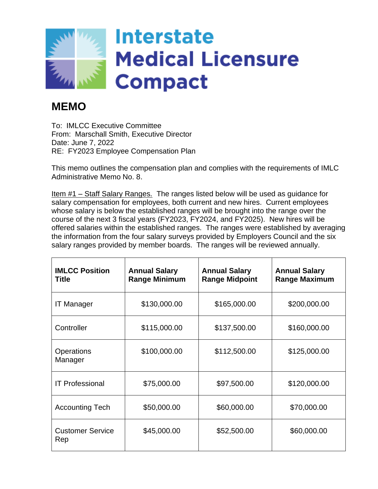

## **MEMO**

To: IMLCC Executive Committee From: Marschall Smith, Executive Director Date: June 7, 2022 RE: FY2023 Employee Compensation Plan

This memo outlines the compensation plan and complies with the requirements of IMLC Administrative Memo No. 8.

Item #1 – Staff Salary Ranges. The ranges listed below will be used as guidance for salary compensation for employees, both current and new hires. Current employees whose salary is below the established ranges will be brought into the range over the course of the next 3 fiscal years (FY2023, FY2024, and FY2025). New hires will be offered salaries within the established ranges. The ranges were established by averaging the information from the four salary surveys provided by Employers Council and the six salary ranges provided by member boards. The ranges will be reviewed annually.

| <b>IMLCC Position</b><br><b>Title</b> | <b>Annual Salary</b><br><b>Range Minimum</b> | <b>Annual Salary</b><br><b>Range Midpoint</b> | <b>Annual Salary</b><br><b>Range Maximum</b> |
|---------------------------------------|----------------------------------------------|-----------------------------------------------|----------------------------------------------|
| <b>IT Manager</b>                     | \$130,000.00                                 | \$165,000.00                                  | \$200,000.00                                 |
| Controller                            | \$115,000.00                                 | \$137,500.00                                  | \$160,000.00                                 |
| Operations<br>Manager                 | \$100,000.00                                 | \$112,500.00                                  | \$125,000.00                                 |
| <b>IT Professional</b>                | \$75,000.00                                  | \$97,500.00                                   | \$120,000.00                                 |
| <b>Accounting Tech</b>                | \$50,000.00                                  | \$60,000.00                                   | \$70,000.00                                  |
| <b>Customer Service</b><br>Rep        | \$45,000.00                                  | \$52,500.00                                   | \$60,000.00                                  |